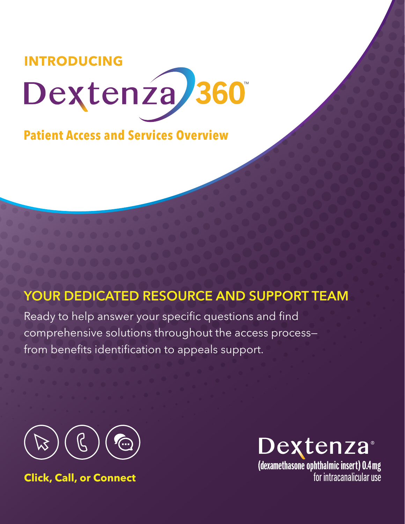

**Patient Access and Services Overview** 

Patient Access and Reimbursement

# YOUR DEDICATED RESOURCE AND SUPPORT TEAM

Ready to help answer your specific questions and find comprehensive solutions throughout the access process from benefits identification to appeals support.



**Click, Call, or Connect**



(dexamethasone ophthalmic insert) 0.4 mg<br>for intracanalicular use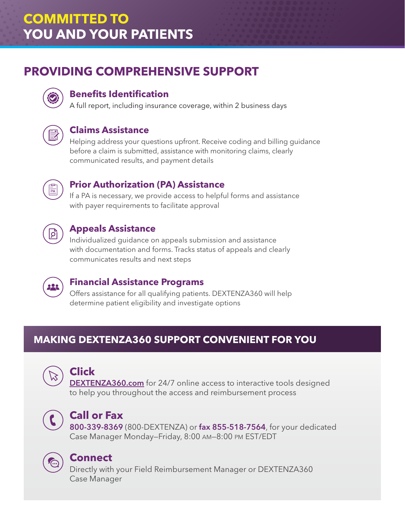# **COMMITTED TO YOU AND YOUR PATIENTS**

# **PROVIDING COMPREHENSIVE SUPPORT**



### **Benefits Identification**

A full report, including insurance coverage, within 2 business days



#### **Claims Assistance**

Helping address your questions upfront. Receive coding and billing guidance before a claim is submitted, assistance with monitoring claims, clearly communicated results, and payment details



### **Prior Authorization (PA) Assistance**

If a PA is necessary, we provide access to helpful forms and assistance with payer requirements to facilitate approval



#### **Appeals Assistance**

Individualized guidance on appeals submission and assistance with documentation and forms. Tracks status of appeals and clearly communicates results and next steps



#### **Financial Assistance Programs**

Offers assistance for all qualifying patients. DEXTENZA360 will help determine patient eligibility and investigate options

## **MAKING DEXTENZA360 SUPPORT CONVENIENT FOR YOU**



## **Click**

**[DEXTENZA360.com](http://Dextenza360.com)** for 24/7 online access to interactive tools designed to help you throughout the access and reimbursement process



### **Call or Fax**

800-339-8369 (800-DEXTENZA) or fax 855-518-7564, for your dedicated Case Manager Monday—Friday, 8:00 AM—8:00 PM EST/EDT



### **Connect**

Directly with your Field Reimbursement Manager or DEXTENZA360 Case Manager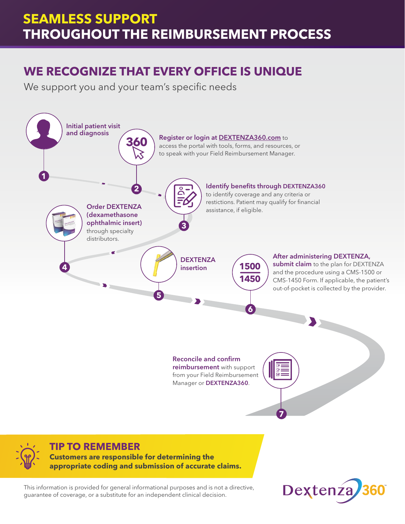# **SEAMLESS SUPPORT THROUGHOUT THE REIMBURSEMENT PROCESS**

# **WE RECOGNIZE THAT EVERY OFFICE IS UNIQUE**

We support you and your team's specific needs



**Customers are responsible for determining the appropriate coding and submission of accurate claims.** 

This information is provided for general informational purposes and is not a directive, guarantee of coverage, or a substitute for an independent clinical decision.